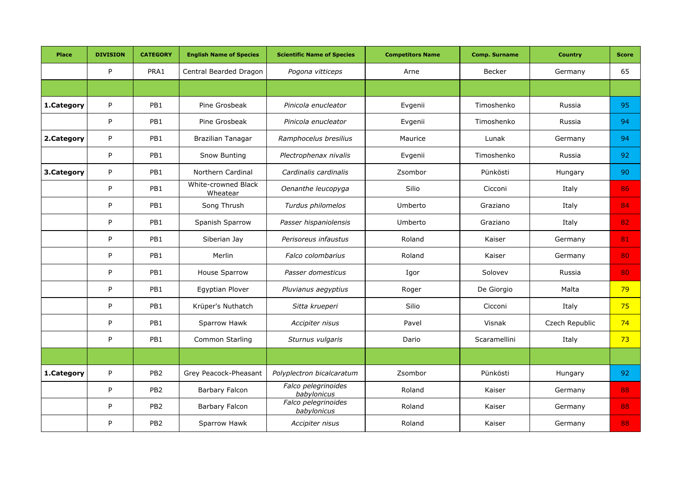| <b>Place</b> | <b>DIVISION</b> | <b>CATEGORY</b> | <b>English Name of Species</b>  | <b>Scientific Name of Species</b>  | <b>Competitors Name</b> | <b>Comp. Surname</b> | <b>Country</b> | <b>Score</b> |
|--------------|-----------------|-----------------|---------------------------------|------------------------------------|-------------------------|----------------------|----------------|--------------|
|              | P               | PRA1            | Central Bearded Dragon          | Pogona vitticeps                   | Arne                    | <b>Becker</b>        | Germany        | 65           |
|              |                 |                 |                                 |                                    |                         |                      |                |              |
| 1.Category   | P               | PB1             | Pine Grosbeak                   | Pinicola enucleator                | Evgenii                 | Timoshenko           | Russia         | 95           |
|              | P               | PB1             | Pine Grosbeak                   | Pinicola enucleator                | Evgenii                 | Timoshenko           | Russia         | 94           |
| 2.Category   | P               | PB1             | Brazilian Tanagar               | Ramphocelus bresilius              | Maurice                 | Lunak                | Germany        | 94           |
|              | P               | PB1             | Snow Bunting                    | Plectrophenax nivalis              | Evgenii                 | Timoshenko           | Russia         | 92           |
| 3.Category   | P               | PB1             | Northern Cardinal               | Cardinalis cardinalis              | Zsombor                 | Pünkösti             | Hungary        | 90           |
|              | P               | PB1             | White-crowned Black<br>Wheatear | Oenanthe leucopyga                 | Silio                   | Cicconi              | Italy          | 86           |
|              | P               | PB1             | Song Thrush                     | Turdus philomelos                  | Umberto                 | Graziano             | Italy          | 84           |
|              | P               | PB1             | Spanish Sparrow                 | Passer hispaniolensis              | Umberto                 | Graziano             | Italy          | 82           |
|              | P               | PB1             | Siberian Jay                    | Perisoreus infaustus               | Roland                  | Kaiser               | Germany        | 81           |
|              | P               | PB1             | Merlin                          | Falco colombarius                  | Roland                  | Kaiser               | Germany        | 80           |
|              | P               | PB1             | <b>House Sparrow</b>            | Passer domesticus                  | Igor                    | Solovev              | Russia         | 80           |
|              | P               | PB1             | Egyptian Plover                 | Pluvianus aegyptius                | Roger                   | De Giorgio           | Malta          | 79           |
|              | P               | PB1             | Krüper's Nuthatch               | Sitta krueperi                     | Silio                   | Cicconi              | Italy          | 75           |
|              | P               | PB1             | Sparrow Hawk                    | Accipiter nisus                    | Pavel                   | Visnak               | Czech Republic | 74           |
|              | P               | PB1             | Common Starling                 | Sturnus vulgaris                   | Dario                   | Scaramellini         | Italy          | 73           |
|              |                 |                 |                                 |                                    |                         |                      |                |              |
| 1.Category   | P               | PB <sub>2</sub> | Grey Peacock-Pheasant           | Polyplectron bicalcaratum          | Zsombor                 | Pünkösti             | Hungary        | 92           |
|              | P               | PB <sub>2</sub> | Barbary Falcon                  | Falco pelegrinoides<br>babylonicus | Roland                  | Kaiser               | Germany        | 88           |
|              | P               | PB <sub>2</sub> | Barbary Falcon                  | Falco pelegrinoides<br>babylonicus | Roland                  | Kaiser               | Germany        | 88           |
|              | P               | PB <sub>2</sub> | Sparrow Hawk                    | Accipiter nisus                    | Roland                  | Kaiser               | Germany        | 88           |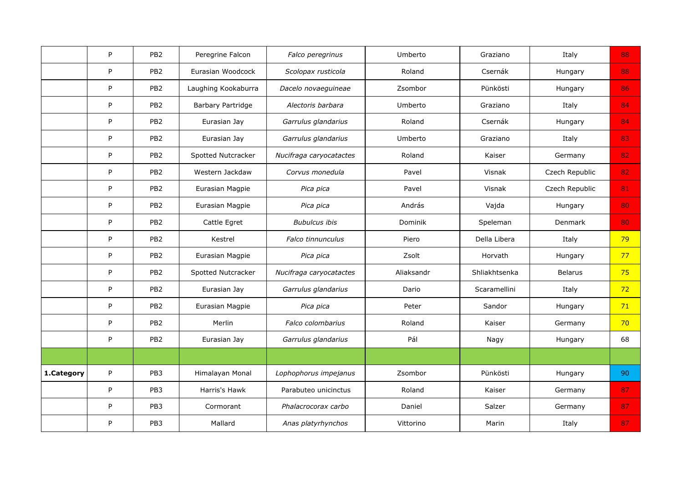|            | P            | PB <sub>2</sub> | Peregrine Falcon    | Falco peregrinus        | Umberto    | Graziano      | Italy          | 88 |
|------------|--------------|-----------------|---------------------|-------------------------|------------|---------------|----------------|----|
|            | P            | PB <sub>2</sub> | Eurasian Woodcock   | Scolopax rusticola      | Roland     | Csernák       | Hungary        | 88 |
|            | P            | PB <sub>2</sub> | Laughing Kookaburra | Dacelo novaeguineae     | Zsombor    | Pünkösti      | Hungary        | 86 |
|            | P            | PB <sub>2</sub> | Barbary Partridge   | Alectoris barbara       | Umberto    | Graziano      | Italy          | 84 |
|            | $\mathsf{P}$ | PB <sub>2</sub> | Eurasian Jay        | Garrulus glandarius     | Roland     | Csernák       | Hungary        | 84 |
|            | P            | PB <sub>2</sub> | Eurasian Jay        | Garrulus glandarius     | Umberto    | Graziano      | Italy          | 83 |
|            | P            | PB <sub>2</sub> | Spotted Nutcracker  | Nucifraga caryocatactes | Roland     | Kaiser        | Germany        | 82 |
|            | P            | PB <sub>2</sub> | Western Jackdaw     | Corvus monedula         | Pavel      | Visnak        | Czech Republic | 82 |
|            | P            | PB <sub>2</sub> | Eurasian Magpie     | Pica pica               | Pavel      | Visnak        | Czech Republic | 81 |
|            | P            | PB <sub>2</sub> | Eurasian Magpie     | Pica pica               | András     | Vajda         | Hungary        | 80 |
|            | P            | PB <sub>2</sub> | Cattle Egret        | <b>Bubulcus ibis</b>    | Dominik    | Speleman      | Denmark        | 80 |
|            | P            | PB <sub>2</sub> | Kestrel             | Falco tinnunculus       | Piero      | Della Libera  | Italy          | 79 |
|            | P            | PB <sub>2</sub> | Eurasian Magpie     | Pica pica               | Zsolt      | Horvath       | Hungary        | 77 |
|            | P            | PB <sub>2</sub> | Spotted Nutcracker  | Nucifraga caryocatactes | Aliaksandr | Shliakhtsenka | <b>Belarus</b> | 75 |
|            | P            | PB <sub>2</sub> | Eurasian Jay        | Garrulus glandarius     | Dario      | Scaramellini  | Italy          | 72 |
|            | P            | PB <sub>2</sub> | Eurasian Magpie     | Pica pica               | Peter      | Sandor        | Hungary        | 71 |
|            | P            | PB <sub>2</sub> | Merlin              | Falco colombarius       | Roland     | Kaiser        | Germany        | 70 |
|            | P            | PB <sub>2</sub> | Eurasian Jay        | Garrulus glandarius     | Pál        | Nagy          | Hungary        | 68 |
|            |              |                 |                     |                         |            |               |                |    |
| 1.Category | P            | PB3             | Himalayan Monal     | Lophophorus impejanus   | Zsombor    | Pünkösti      | Hungary        | 90 |
|            | P            | PB <sub>3</sub> | Harris's Hawk       | Parabuteo unicinctus    | Roland     | Kaiser        | Germany        | 87 |
|            | P            | PB <sub>3</sub> | Cormorant           | Phalacrocorax carbo     | Daniel     | Salzer        | Germany        | 87 |
|            | P            | PB <sub>3</sub> | Mallard             | Anas platyrhynchos      | Vittorino  | Marin         | Italy          | 87 |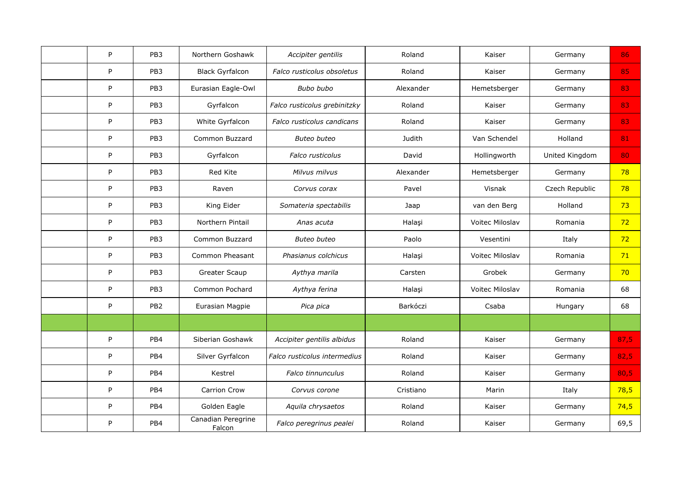| P            | PB <sub>3</sub> | Northern Goshawk             | Accipiter gentilis           | Roland    | Kaiser                 | Germany        | 86   |
|--------------|-----------------|------------------------------|------------------------------|-----------|------------------------|----------------|------|
| P            | PB <sub>3</sub> | <b>Black Gyrfalcon</b>       | Falco rusticolus obsoletus   | Roland    | Kaiser                 | Germany        | 85   |
| P            | PB <sub>3</sub> | Eurasian Eagle-Owl           | Bubo bubo                    | Alexander | Hemetsberger           | Germany        | 83   |
| P            | PB3             | Gyrfalcon                    | Falco rusticolus grebinitzky | Roland    | Kaiser                 | Germany        | 83   |
| P            | PB3             | White Gyrfalcon              | Falco rusticolus candicans   | Roland    | Kaiser                 | Germany        | 83   |
| P            | PB3             | Common Buzzard               | <b>Buteo buteo</b>           | Judith    | Van Schendel           | Holland        | 81   |
| P            | PB3             | Gyrfalcon                    | Falco rusticolus             | David     | Hollingworth           | United Kingdom | 80   |
| P            | PB3             | Red Kite                     | Milvus milvus                | Alexander | Hemetsberger           | Germany        | 78   |
| $\mathsf{P}$ | PB3             | Raven                        | Corvus corax                 | Pavel     | Visnak                 | Czech Republic | 78   |
| $\mathsf{P}$ | PB <sub>3</sub> | King Eider                   | Somateria spectabilis        | Jaap      | van den Berg           | Holland        | 73   |
| P            | PB <sub>3</sub> | Northern Pintail             | Anas acuta                   | Halaşi    | Voitec Miloslav        | Romania        | 72   |
| P            | PB <sub>3</sub> | Common Buzzard               | <b>Buteo buteo</b>           | Paolo     | Vesentini              | Italy          | 72   |
| P            | PB <sub>3</sub> | Common Pheasant              | Phasianus colchicus          | Halasi    | <b>Voitec Miloslav</b> | Romania        | 71   |
| $\mathsf{P}$ | PB3             | Greater Scaup                | Aythya marila                | Carsten   | Grobek                 | Germany        | 70   |
| P            | PB <sub>3</sub> | Common Pochard               | Aythya ferina                | Halaşi    | <b>Voitec Miloslav</b> | Romania        | 68   |
| $\mathsf{P}$ | PB <sub>2</sub> | Eurasian Magpie              | Pica pica                    | Barkóczi  | Csaba                  | Hungary        | 68   |
|              |                 |                              |                              |           |                        |                |      |
| $\mathsf{P}$ | PB4             | Siberian Goshawk             | Accipiter gentilis albidus   | Roland    | Kaiser                 | Germany        | 87,5 |
| P            | PB4             | Silver Gyrfalcon             | Falco rusticolus intermedius | Roland    | Kaiser                 | Germany        | 82,5 |
| P            | PB4             | Kestrel                      | <b>Falco tinnunculus</b>     | Roland    | Kaiser                 | Germany        | 80,5 |
| P            | PB4             | <b>Carrion Crow</b>          | Corvus corone                | Cristiano | Marin                  | Italy          | 78,5 |
| P            | PB4             | Golden Eagle                 | Aquila chrysaetos            | Roland    | Kaiser                 | Germany        | 74,5 |
| P            | PB4             | Canadian Peregrine<br>Falcon | Falco peregrinus pealei      | Roland    | Kaiser                 | Germany        | 69,5 |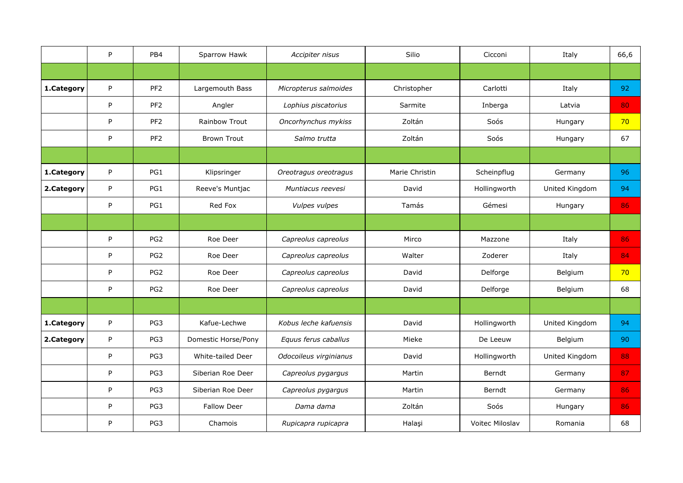|            | P | PB4             | Sparrow Hawk         | Accipiter nisus        | Silio          | Cicconi         | Italy          | 66,6 |
|------------|---|-----------------|----------------------|------------------------|----------------|-----------------|----------------|------|
|            |   |                 |                      |                        |                |                 |                |      |
| 1.Category | P | PF <sub>2</sub> | Largemouth Bass      | Micropterus salmoides  | Christopher    | Carlotti        | Italy          | 92   |
|            | P | PF <sub>2</sub> | Angler               | Lophius piscatorius    | Sarmite        | Inberga         | Latvia         | 80   |
|            | P | PF <sub>2</sub> | <b>Rainbow Trout</b> | Oncorhynchus mykiss    | Zoltán         | Soós            | Hungary        | 70   |
|            | P | PF <sub>2</sub> | <b>Brown Trout</b>   | Salmo trutta           | Zoltán         | Soós            | Hungary        | 67   |
|            |   |                 |                      |                        |                |                 |                |      |
| 1.Category | P | PG1             | Klipsringer          | Oreotragus oreotragus  | Marie Christin | Scheinpflug     | Germany        | 96   |
| 2.Category | P | PG1             | Reeve's Muntjac      | Muntiacus reevesi      | David          | Hollingworth    | United Kingdom | 94   |
|            | P | PG1             | Red Fox              | Vulpes vulpes          | Tamás          | Gémesi          | Hungary        | 86   |
|            |   |                 |                      |                        |                |                 |                |      |
|            | P | PG <sub>2</sub> | Roe Deer             | Capreolus capreolus    | Mirco          | Mazzone         | Italy          | 86   |
|            | P | PG <sub>2</sub> | Roe Deer             | Capreolus capreolus    | Walter         | Zoderer         | Italy          | 84   |
|            | P | PG <sub>2</sub> | Roe Deer             | Capreolus capreolus    | David          | Delforge        | Belgium        | 70   |
|            | P | PG <sub>2</sub> | Roe Deer             | Capreolus capreolus    | David          | Delforge        | Belgium        | 68   |
|            |   |                 |                      |                        |                |                 |                |      |
| 1.Category | P | PG3             | Kafue-Lechwe         | Kobus leche kafuensis  | David          | Hollingworth    | United Kingdom | 94   |
| 2.Category | P | PG3             | Domestic Horse/Pony  | Equus ferus caballus   | Mieke          | De Leeuw        | Belgium        | 90   |
|            | P | PG3             | White-tailed Deer    | Odocoileus virginianus | David          | Hollingworth    | United Kingdom | 88   |
|            | P | PG3             | Siberian Roe Deer    | Capreolus pygargus     | Martin         | Berndt          | Germany        | 87   |
|            | P | PG3             | Siberian Roe Deer    | Capreolus pygargus     | Martin         | Berndt          | Germany        | 86   |
|            | P | PG3             | <b>Fallow Deer</b>   | Dama dama              | Zoltán         | Soós            | Hungary        | 86   |
|            | P | PG3             | Chamois              | Rupicapra rupicapra    | Halaşi         | Voitec Miloslav | Romania        | 68   |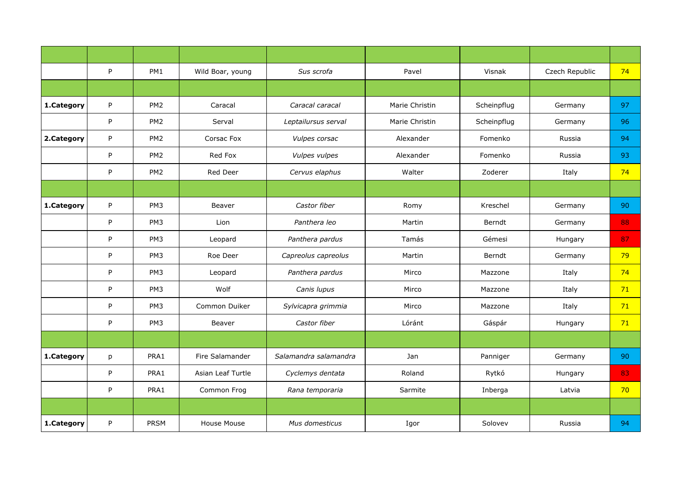|            | P | PM1             | Wild Boar, young  | Sus scrofa            | Pavel          | Visnak      | Czech Republic | 74 |
|------------|---|-----------------|-------------------|-----------------------|----------------|-------------|----------------|----|
|            |   |                 |                   |                       |                |             |                |    |
| 1.Category | P | PM <sub>2</sub> | Caracal           | Caracal caracal       | Marie Christin | Scheinpflug | Germany        | 97 |
|            | P | PM <sub>2</sub> | Serval            | Leptailursus serval   | Marie Christin | Scheinpflug | Germany        | 96 |
| 2.Category | P | PM <sub>2</sub> | Corsac Fox        | Vulpes corsac         | Alexander      | Fomenko     | Russia         | 94 |
|            | P | PM <sub>2</sub> | Red Fox           | Vulpes vulpes         | Alexander      | Fomenko     | Russia         | 93 |
|            | P | PM <sub>2</sub> | Red Deer          | Cervus elaphus        | Walter         | Zoderer     | Italy          | 74 |
|            |   |                 |                   |                       |                |             |                |    |
| 1.Category | P | PM <sub>3</sub> | Beaver            | Castor fiber          | Romy           | Kreschel    | Germany        | 90 |
|            | P | PM <sub>3</sub> | Lion              | Panthera leo          | Martin         | Berndt      | Germany        | 88 |
|            | P | PM <sub>3</sub> | Leopard           | Panthera pardus       | Tamás          | Gémesi      | Hungary        | 87 |
|            | P | PM <sub>3</sub> | Roe Deer          | Capreolus capreolus   | Martin         | Berndt      | Germany        | 79 |
|            | P | PM <sub>3</sub> | Leopard           | Panthera pardus       | Mirco          | Mazzone     | Italy          | 74 |
|            | P | PM3             | Wolf              | Canis lupus           | Mirco          | Mazzone     | Italy          | 71 |
|            | P | PM <sub>3</sub> | Common Duiker     | Sylvicapra grimmia    | Mirco          | Mazzone     | Italy          | 71 |
|            | P | PM3             | Beaver            | Castor fiber          | Lóránt         | Gáspár      | Hungary        | 71 |
|            |   |                 |                   |                       |                |             |                |    |
| 1.Category | p | PRA1            | Fire Salamander   | Salamandra salamandra | Jan            | Panniger    | Germany        | 90 |
|            | P | PRA1            | Asian Leaf Turtle | Cyclemys dentata      | Roland         | Rytkó       | Hungary        | 83 |
|            | P | PRA1            | Common Frog       | Rana temporaria       | Sarmite        | Inberga     | Latvia         | 70 |
|            |   |                 |                   |                       |                |             |                |    |
| 1.Category | P | <b>PRSM</b>     | House Mouse       | Mus domesticus        | Igor           | Solovev     | Russia         | 94 |